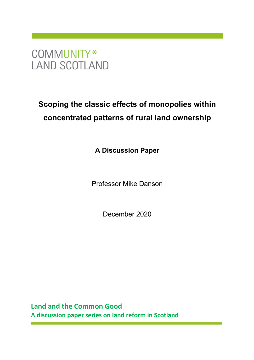# COMMUNITY\* **LAND SCOTLAND**

# **Scoping the classic effects of monopolies within concentrated patterns of rural land ownership**

**A Discussion Paper** 

Professor Mike Danson

December 2020

**Land and the Common Good A discussion paper series on land reform in Scotland**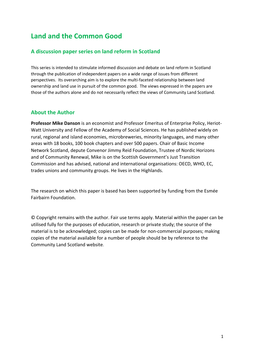## **Land and the Common Good**

## **A discussion paper series on land reform in Scotland**

This series is intended to stimulate informed discussion and debate on land reform in Scotland through the publication of independent papers on a wide range of issues from different perspectives. Its overarching aim is to explore the multi-faceted relationship between land ownership and land use in pursuit of the common good. The views expressed in the papers are those of the authors alone and do not necessarily reflect the views of Community Land Scotland.

## **About the Author**

**Professor Mike Danson** is an economist and Professor Emeritus of Enterprise Policy, Heriot-Watt University and Fellow of the Academy of Social Sciences. He has published widely on rural, regional and island economies, microbreweries, minority languages, and many other areas with 18 books, 100 book chapters and over 500 papers. Chair of Basic Income Network Scotland, depute Convenor Jimmy Reid Foundation, Trustee of Nordic Horizons and of Community Renewal, Mike is on the Scottish Government's Just Transition Commission and has advised, national and international organisations: OECD, WHO, EC, trades unions and community groups. He lives in the Highlands.

The research on which this paper is based has been supported by funding from the Esmée Fairbairn Foundation.

© Copyright remains with the author. Fair use terms apply. Material within the paper can be utilised fully for the purposes of education, research or private study; the source of the material is to be acknowledged; copies can be made for non-commercial purposes; making copies of the material available for a number of people should be by reference to the Community Land Scotland website.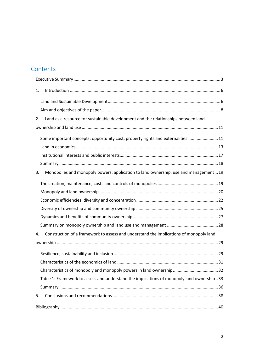## **Contents**

| 1.                                                                                           |  |
|----------------------------------------------------------------------------------------------|--|
|                                                                                              |  |
|                                                                                              |  |
| Land as a resource for sustainable development and the relationships between land<br>2.      |  |
|                                                                                              |  |
| Some important concepts: opportunity cost, property rights and externalities  11             |  |
|                                                                                              |  |
|                                                                                              |  |
|                                                                                              |  |
| Monopolies and monopoly powers: application to land ownership, use and management19<br>3.    |  |
|                                                                                              |  |
|                                                                                              |  |
|                                                                                              |  |
|                                                                                              |  |
|                                                                                              |  |
|                                                                                              |  |
| Construction of a framework to assess and understand the implications of monopoly land<br>4. |  |
|                                                                                              |  |
|                                                                                              |  |
|                                                                                              |  |
|                                                                                              |  |
| Table 1: Framework to assess and understand the implications of monopoly land ownership 33   |  |
|                                                                                              |  |
| 5.                                                                                           |  |
|                                                                                              |  |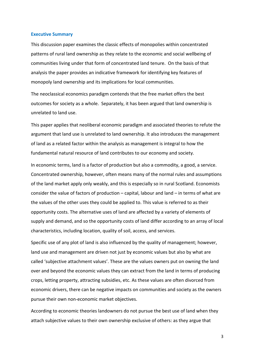#### **Executive Summary**

This discussion paper examines the classic effects of monopolies within concentrated patterns of rural land ownership as they relate to the economic and social wellbeing of communities living under that form of concentrated land tenure. On the basis of that analysis the paper provides an indicative framework for identifying key features of monopoly land ownership and its implications for local communities.

The neoclassical economics paradigm contends that the free market offers the best outcomes for society as a whole. Separately, it has been argued that land ownership is unrelated to land use.

This paper applies that neoliberal economic paradigm and associated theories to refute the argument that land use is unrelated to land ownership. It also introduces the management of land as a related factor within the analysis as management is integral to how the fundamental natural resource of land contributes to our economy and society.

In economic terms, land is a factor of production but also a commodity, a good, a service. Concentrated ownership, however, often means many of the normal rules and assumptions of the land market apply only weakly, and this is especially so in rural Scotland. Economists consider the value of factors of production – capital, labour and land – in terms of what are the values of the other uses they could be applied to. This value is referred to as their opportunity costs. The alternative uses of land are affected by a variety of elements of supply and demand, and so the opportunity costs of land differ according to an array of local characteristics, including location, quality of soil, access, and services.

Specific use of any plot of land is also influenced by the quality of management; however, land use and management are driven not just by economic values but also by what are called 'subjective attachment values'. These are the values owners put on owning the land over and beyond the economic values they can extract from the land in terms of producing crops, letting property, attracting subsidies, etc. As these values are often divorced from economic drivers, there can be negative impacts on communities and society as the owners pursue their own non-economic market objectives.

According to economic theories landowners do not pursue the best use of land when they attach subjective values to their own ownership exclusive of others: as they argue that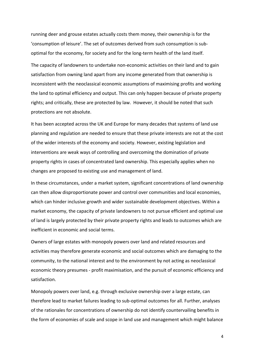running deer and grouse estates actually costs them money, their ownership is for the 'consumption of leisure'. The set of outcomes derived from such consumption is suboptimal for the economy, for society and for the long-term health of the land itself.

The capacity of landowners to undertake non-economic activities on their land and to gain satisfaction from owning land apart from any income generated from that ownership is inconsistent with the neoclassical economic assumptions of maximising profits and working the land to optimal efficiency and output. This can only happen because of private property rights; and critically, these are protected by law. However, it should be noted that such protections are not absolute.

It has been accepted across the UK and Europe for many decades that systems of land use planning and regulation are needed to ensure that these private interests are not at the cost of the wider interests of the economy and society. However, existing legislation and interventions are weak ways of controlling and overcoming the domination of private property rights in cases of concentrated land ownership. This especially applies when no changes are proposed to existing use and management of land.

In these circumstances, under a market system, significant concentrations of land ownership can then allow disproportionate power and control over communities and local economies, which can hinder inclusive growth and wider sustainable development objectives. Within a market economy, the capacity of private landowners to not pursue efficient and optimal use of land is largely protected by their private property rights and leads to outcomes which are inefficient in economic and social terms.

Owners of large estates with monopoly powers over land and related resources and activities may therefore generate economic and social outcomes which are damaging to the community, to the national interest and to the environment by not acting as neoclassical economic theory presumes - profit maximisation, and the pursuit of economic efficiency and satisfaction.

Monopoly powers over land, e.g. through exclusive ownership over a large estate, can therefore lead to market failures leading to sub-optimal outcomes for all. Further, analyses of the rationales for concentrations of ownership do not identify countervailing benefits in the form of economies of scale and scope in land use and management which might balance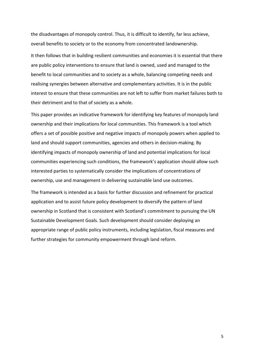the disadvantages of monopoly control. Thus, it is difficult to identify, far less achieve, overall benefits to society or to the economy from concentrated landownership.

It then follows that in building resilient communities and economies it is essential that there are public policy interventions to ensure that land is owned, used and managed to the benefit to local communities and to society as a whole, balancing competing needs and realising synergies between alternative and complementary activities. It is in the public interest to ensure that these communities are not left to suffer from market failures both to their detriment and to that of society as a whole.

This paper provides an indicative framework for identifying key features of monopoly land ownership and their implications for local communities. This framework is a tool which offers a set of possible positive and negative impacts of monopoly powers when applied to land and should support communities, agencies and others in decision-making. By identifying impacts of monopoly ownership of land and potential implications for local communities experiencing such conditions, the framework's application should allow such interested parties to systematically consider the implications of concentrations of ownership, use and management in delivering sustainable land use outcomes.

The framework is intended as a basis for further discussion and refinement for practical application and to assist future policy development to diversify the pattern of land ownership in Scotland that is consistent with Scotland's commitment to pursuing the UN Sustainable Development Goals. Such development should consider deploying an appropriate range of public policy instruments, including legislation, fiscal measures and further strategies for community empowerment through land reform.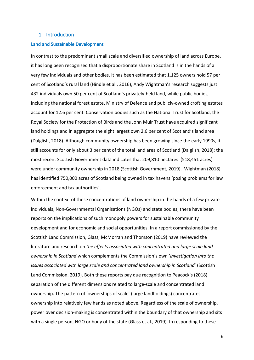## 1. Introduction

## Land and Sustainable Development

In contrast to the predominant small scale and diversified ownership of land across Europe, it has long been recognised that a disproportionate share in Scotland is in the hands of a very few individuals and other bodies. It has been estimated that 1,125 owners hold 57 per cent of Scotland's rural land (Hindle et al., 2016), Andy Wightman's research suggests just 432 individuals own 50 per cent of Scotland's privately-held land, while public bodies, including the national forest estate, Ministry of Defence and publicly-owned crofting estates account for 12.6 per cent. Conservation bodies such as the National Trust for Scotland, the Royal Society for the Protection of Birds and the John Muir Trust have acquired significant land holdings and in aggregate the eight largest own 2.6 per cent of Scotland's land area (Dalglish, 2018). Although community ownership has been growing since the early 1990s, it still accounts for only about 3 per cent of the total land area of Scotland (Dalglish, 2018); the most recent Scottish Government data indicates that 209,810 hectares (518,451 acres) were under community ownership in 2018 (Scottish Government, 2019). Wightman (2018) has identified 750,000 acres of Scotland being owned in tax havens 'posing problems for law enforcement and tax authorities'.

Within the context of these concentrations of land ownership in the hands of a few private individuals, Non-Governmental Organisations (NGOs) and state bodies, there have been reports on the implications of such monopoly powers for sustainable community development and for economic and social opportunities. In a report commissioned by the Scottish Land Commission, Glass, McMorran and Thomson (2019) have reviewed the literature and research on *the effects associated with concentrated and large scale land ownership in Scotland* which complements the Commission's own '*investigation into the issues associated with large scale and concentrated land ownership in Scotland*' (Scottish Land Commission, 2019). Both these reports pay due recognition to Peacock's (2018) separation of the different dimensions related to large-scale and concentrated land ownership. The pattern of 'ownerships of scale' (large landholdings) concentrates ownership into relatively few hands as noted above. Regardless of the scale of ownership, power over decision-making is concentrated within the boundary of that ownership and sits with a single person, NGO or body of the state (Glass et al., 2019). In responding to these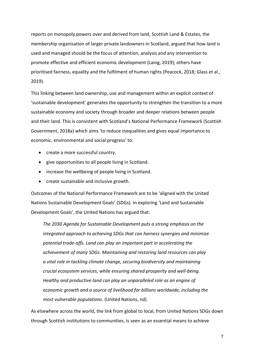reports on monopoly powers over and derived from land, Scottish Land & Estates, the membership organisation of larger private landowners in Scotland, argued that how land is used and managed should be the focus of attention, analysis and any intervention to promote effective and efficient economic development (Laing, 2019); others have prioritised fairness, equality and the fulfilment of human rights (Peacock, 2018; Glass et al., 2019).

This linking between land ownership, use and management within an explicit context of 'sustainable development' generates the opportunity to strengthen the transition to a more sustainable economy and society through broader and deeper relations between people and their land. This is consistent with Scotland's National Performance Framework (Scottish Government, 2018a) which aims 'to reduce inequalities and gives equal importance to economic, environmental and social progress' to:

- create a more successful country.
- give opportunities to all people living in Scotland.
- increase the wellbeing of people living in Scotland.
- create sustainable and inclusive growth.

Outcomes of the National Performance Framework are to be 'aligned with the United Nations Sustainable Development Goals' (SDGs). In exploring 'Land and Sustainable Development Goals', the United Nations has argued that:

*The 2030 Agenda for Sustainable Development puts a strong emphasis on the integrated approach to achieving SDGs that can harness synergies and minimize potential trade-offs. Land can play an important part in accelerating the achievement of many SDGs. Maintaining and restoring land resources can play a vital role in tackling climate change, securing biodiversity and maintaining crucial ecosystem services, while ensuring shared prosperity and well-being. Healthy and productive land can play an unparalleled role as an engine of economic growth and a source of livelihood for billions worldwide, including the most vulnerable populations*. (United Nations, nd)

As elsewhere across the world, the link from global to local, from United Nations SDGs down through Scottish institutions to communities, is seen as an essential means to achieve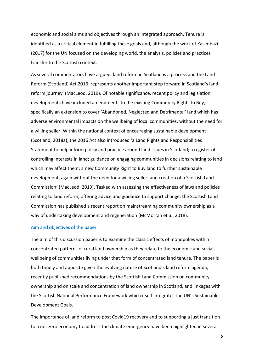economic and social aims and objectives through an integrated approach. Tenure is identified as a critical element in fulfilling these goals and, although the work of Kasimbazi (2017) for the UN focused on the developing world, the analysis, policies and practices transfer to the Scottish context.

As several commentators have argued, land reform in Scotland is a process and the Land Reform (Scotland) Act 2016 'represents another important step forward in Scotland's land reform journey' (MacLeod, 2019). Of notable significance, recent policy and legislation developments have included amendments to the existing Community Rights to Buy, specifically an extension to cover 'Abandoned, Neglected and Detrimental' land which has adverse environmental impacts on the wellbeing of local communities, without the need for a willing seller. Within the national context of encouraging sustainable development (Scotland, 2018a), the 2016 Act also introduced 'a Land Rights and Responsibilities Statement to help inform policy and practice around land issues in Scotland; a register of controlling interests in land; guidance on engaging communities in decisions relating to land which may affect them; a new Community Right to Buy land to further sustainable development, again without the need for a willing seller; and creation of a Scottish Land Commission' (MacLeod, 2019). Tasked with assessing the effectiveness of laws and policies relating to land reform, offering advice and guidance to support change, the Scottish Land Commission has published a recent report on mainstreaming community ownership as a way of undertaking development and regeneration (McMorran et a., 2018).

## Aim and objectives of the paper

The aim of this discussion paper is to examine the classic effects of monopolies within concentrated patterns of rural land ownership as they relate to the economic and social wellbeing of communities living under that form of concentrated land tenure. The paper is both timely and apposite given the evolving nature of Scotland's land reform agenda, recently published recommendations by the Scottish Land Commission on community ownership and on scale and concentration of land ownership in Scotland, and linkages with the Scottish National Performance Framework which itself integrates the UN's Sustainable Development Goals.

The importance of land reform to post Covid19 recovery and to supporting a just transition to a net zero economy to address the climate emergency have been highlighted in several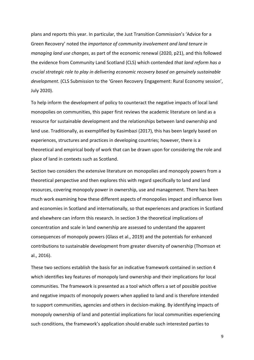plans and reports this year. In particular, the Just Transition Commission's 'Advice for a Green Recovery' noted the *importance of community involvement and land tenure in managing land use changes*, as part of the economic renewal (2020, p21), and this followed the evidence from Community Land Scotland (CLS) which contended *that land reform has a crucial strategic role to play in delivering economic recovery based on genuinely sustainable development*. (CLS Submission to the 'Green Recovery Engagement: Rural Economy session', July 2020).

To help inform the development of policy to counteract the negative impacts of local land monopolies on communities, this paper first reviews the academic literature on land as a resource for sustainable development and the relationships between land ownership and land use. Traditionally, as exemplified by Kasimbazi (2017), this has been largely based on experiences, structures and practices in developing countries; however, there is a theoretical and empirical body of work that can be drawn upon for considering the role and place of land in contexts such as Scotland.

Section two considers the extensive literature on monopolies and monopoly powers from a theoretical perspective and then explores this with regard specifically to land and land resources, covering monopoly power in ownership, use and management. There has been much work examining how these different aspects of monopolies impact and influence lives and economies in Scotland and internationally, so that experiences and practices in Scotland and elsewhere can inform this research. In section 3 the theoretical implications of concentration and scale in land ownership are assessed to understand the apparent consequences of monopoly powers (Glass et al., 2019) and the potentials for enhanced contributions to sustainable development from greater diversity of ownership (Thomson et al., 2016).

These two sections establish the basis for an indicative framework contained in section 4 which identifies key features of monopoly land ownership and their implications for local communities. The framework is presented as a tool which offers a set of possible positive and negative impacts of monopoly powers when applied to land and is therefore intended to support communities, agencies and others in decision-making. By identifying impacts of monopoly ownership of land and potential implications for local communities experiencing such conditions, the framework's application should enable such interested parties to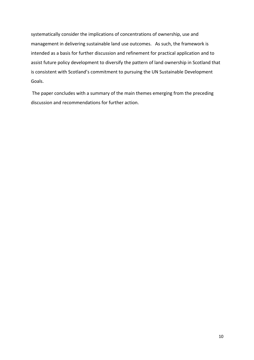systematically consider the implications of concentrations of ownership, use and management in delivering sustainable land use outcomes. As such, the framework is intended as a basis for further discussion and refinement for practical application and to assist future policy development to diversify the pattern of land ownership in Scotland that is consistent with Scotland's commitment to pursuing the UN Sustainable Development Goals.

The paper concludes with a summary of the main themes emerging from the preceding discussion and recommendations for further action.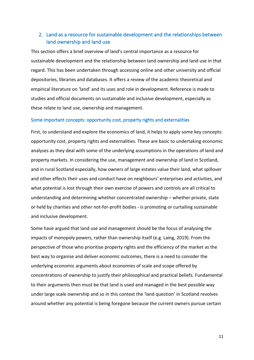## 2. Land as a resource for sustainable development and the relationships between land ownership and land use

This section offers a brief overview of land's central importance as a resource for sustainable development and the relationship between land ownership and land use in that regard. This has been undertaken through accessing online and other university and official depositories, libraries and databases. It offers a review of the academic theoretical and empirical literature on 'land' and its uses and role in development. Reference is made to studies and official documents on sustainable and inclusive development, especially as these relate to land use, ownership and management.

## Some important concepts: opportunity cost, property rights and externalities

First, to understand and explore the economics of land, it helps to apply some key concepts: opportunity cost, property rights and externalities. These are basic to undertaking economic analyses as they deal with some of the underlying assumptions in the operations of land and property markets. In considering the use, management and ownership of land in Scotland, and in rural Scotland especially, how owners of large estates value their land, what spillover and other effects their uses and conduct have on neighbours' enterprises and activities, and what potential is lost through their own exercise of powers and controls are all critical to understanding and determining whether concentrated ownership – whether private, state or held by charities and other not-for-profit bodies - is promoting or curtailing sustainable and inclusive development.

Some have argued that land use and management should be the focus of analysing the impacts of monopoly powers, rather than ownership itself (e.g. Laing, 2019). From the perspective of those who prioritise property rights and the efficiency of the market as the best way to organise and deliver economic outcomes, there is a need to consider the underlying economic arguments about economies of scale and scope offered by concentrations of ownership to justify their philosophical and practical beliefs. Fundamental to their arguments then must be that land is used and managed in the best possible way under large scale ownership and so in this context the 'land question' in Scotland revolves around whether any potential is being foregone because the current owners pursue certain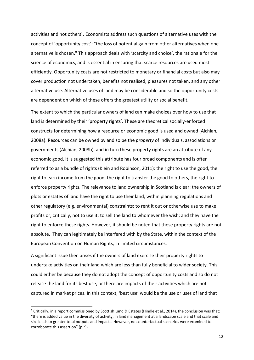activities and not others<sup>1</sup>. Economists address such questions of alternative uses with the concept of 'opportunity cost': "the loss of potential gain from other alternatives when one alternative is chosen." This approach deals with 'scarcity and choice', the rationale for the science of economics, and is essential in ensuring that scarce resources are used most efficiently. Opportunity costs are not restricted to monetary or financial costs but also may cover production not undertaken, benefits not realised, pleasures not taken, and any other alternative use. Alternative uses of land may be considerable and so the opportunity costs are dependent on which of these offers the greatest utility or social benefit.

The extent to which the particular owners of land can make choices over how to use that land is determined by their 'property rights'. These are theoretical socially-enforced constructs for determining how a resource or economic good is used and owned (Alchian, 2008a). Resources can be owned by and so be the *property* of individuals, associations or governments (Alchian, 2008b), and in turn these property rights are an attribute of any economic good. It is suggested this attribute has four broad components and is often referred to as a bundle of rights (Klein and Robinson, 2011): the right to use the good, the right to earn income from the good, the right to transfer the good to others, the right to enforce property rights. The relevance to land ownership in Scotland is clear: the owners of plots or estates of land have the right to use their land, within planning regulations and other regulatory (e.g. environmental) constraints; to rent it out or otherwise use to make profits or, critically, not to use it; to sell the land to whomever the wish; and they have the right to enforce these rights. However, it should be noted that these property rights are not absolute. They can legitimately be interfered with by the State, within the context of the European Convention on Human Rights, in limited circumstances.

A significant issue then arises if the owners of land exercise their property rights to undertake activities on their land which are less than fully beneficial to wider society. This could either be because they do not adopt the concept of opportunity costs and so do not release the land for its best use, or there are impacts of their activities which are not captured in market prices. In this context, 'best use' would be the use or uses of land that

<sup>&</sup>lt;sup>1</sup> Critically, in a report commissioned by Scottish Land & Estates (Hindle et al., 2014), the conclusion was that: "there is added value in the diversity of activity, in land management at a landscape scale and that scale and size leads to greater total outputs and impacts. However, no counterfactual scenarios were examined to corroborate this assertion" (p. 9).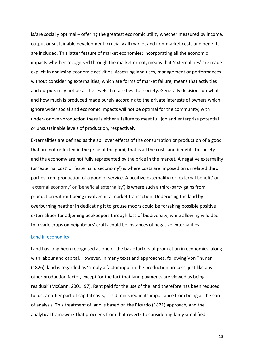is/are socially optimal – offering the greatest economic utility whether measured by income, output or sustainable development; crucially all market and non-market costs and benefits are included. This latter feature of market economies: incorporating all the economic impacts whether recognised through the market or not, means that 'externalities' are made explicit in analysing economic activities. Assessing land uses, management or performances without considering externalities, which are forms of market failure, means that activities and outputs may not be at the levels that are best for society. Generally decisions on what and how much is produced made purely according to the private interests of owners which ignore wider social and economic impacts will not be optimal for the community; with under- or over-production there is either a failure to meet full job and enterprise potential or unsustainable levels of production, respectively.

Externalities are defined as the spillover effects of the consumption or production of a good that are not reflected in the price of the good, that is all the costs and benefits to society and the economy are not fully represented by the price in the market. A negative externality (or 'external cost' or 'external diseconomy') is where costs are imposed on unrelated third parties from production of a good or service. A positive externality (or 'external benefit' or 'external economy' or 'beneficial externality') is where such a third-party gains from production without being involved in a market transaction. Underusing the land by overburning heather in dedicating it to grouse moors could be forsaking possible positive externalities for adjoining beekeepers through loss of biodiversity, while allowing wild deer to invade crops on neighbours' crofts could be instances of negative externalities.

## Land in economics

Land has long been recognised as one of the basic factors of production in economics, along with labour and capital. However, in many texts and approaches, following Von Thunen (1826), land is regarded as 'simply a factor input in the production process, just like any other production factor, except for the fact that land payments are viewed as being residual' (McCann, 2001: 97). Rent paid for the use of the land therefore has been reduced to just another part of capital costs, it is diminished in its importance from being at the core of analysis. This treatment of land is based on the Ricardo (1821) approach, and the analytical framework that proceeds from that reverts to considering fairly simplified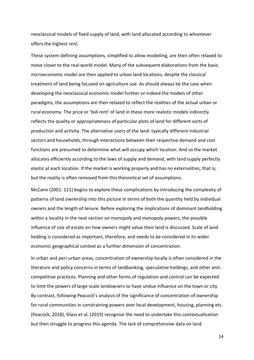neoclassical models of fixed supply of land, with land allocated according to whomever offers the highest rent.

These system-defining assumptions, simplified to allow modelling, are then often relaxed to move closer to the real-world model. Many of the subsequent elaborations from the basic microeconomic model are then applied to urban land locations, despite the classical treatment of land being focused on agriculture use. As should always be the case when developing the neoclassical economic model further or indeed the models of other paradigms, the assumptions are then relaxed to reflect the realities of the actual urban or rural economy. The price or 'bid-rent' of land in these more realistic models indirectly reflects the quality or appropriateness of particular plots of land for different sorts of production and activity. The alternative users of the land: typically different industrial sectors and households, through interactions between their respective demand and cost functions are presumed to determine what will occupy which location. And so the market allocates efficiently according to the laws of supply and demand, with land supply perfectly elastic at each location. If the market is working properly and has no externalities, that is; but the reality is often removed from this theoretical set of assumptions.

McCann (2001: 121) begins to explore these complications by introducing the complexity of patterns of land ownership into this picture in terms of both the quantity held by individual owners and the length of tenure. Before exploring the implications of dominant landholding within a locality in the next section on monopoly and monopoly powers, the possible influence of size of estate on how owners might value their land is discussed. Scale of land holding is considered as important, therefore, and needs to be considered in its wider economic geographical context as a further dimension of concentration.

In urban and peri-urban areas, concentration of ownership locally is often considered in the literature and policy concerns in terms of landbanking, speculative holdings, and other anticompetitive practices. Planning and other forms of regulation and control can be expected to limit the powers of large-scale landowners to have undue influence on the town or city. By contrast, following Peacock's analysis of the significance of concentration of ownership for rural communities in constraining powers over local development, housing, planning etc. (Peacock, 2018), Glass et al. (2019) recognise the need to undertake this contextualisation but then struggle to progress this agenda. The lack of comprehensive data on land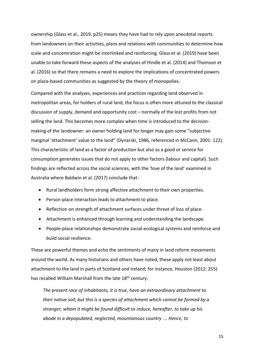ownership (Glass et al., 2019, p25) means they have had to rely upon anecdotal reports from landowners on their activities, plans and relations with communities to determine how scale and concentration might be interlinked and reinforcing. Glass et al. (2019) have been unable to take forward these aspects of the analyses of Hindle et al. (2014) and Thomson et al. (2016) so that there remains a need to explore the implications of concentrated powers on place-based communities as suggested by the theory of monopolies.

Compared with the analyses, experiences and practices regarding land observed in metropolitan areas, for holders of rural land, the focus is often more attuned to the classical discussion of supply, demand and opportunity cost – normally of the lost profits from not selling the land. This becomes more complex when time is introduced to the decisionmaking of the landowner: an owner holding land for longer may gain some "subjective marginal 'attachment' value to the land" (Dynarski, 1986, referenced in McCann, 2001: 122). This characteristic of land as a factor of production but also as a good or service for consumption generates issues that do not apply to other factors (labour and capital). Such findings are reflected across the social sciences, with the 'love of the land' examined in Australia where Baldwin et al. (2017) conclude that:

- Rural landholders form strong affective attachment to their own properties.
- Person-place interaction leads to attachment to place.
- Reflection on strength of attachment surfaces under threat of loss of place.
- Attachment is enhanced through learning and understanding the landscape.
- People-place relationships demonstrate social-ecological systems and reinforce and build social resilience.

These are powerful themes and echo the sentiments of many in land reform movements around the world. As many historians and others have noted, these apply not least about attachment to the land in parts of Scotland and Ireland; for instance, Houston (2012: 255) has recalled William Marshall from the late 18<sup>th</sup> century:

*The present race of inhabitants, it is true, have an extraordinary attachment to their native soil; but this is a species of attachment which cannot be formed by a stranger; whom it might be found difficult to induce, hereafter, to take up his abode in a depopulated, neglected, mountainous country … Hence, to*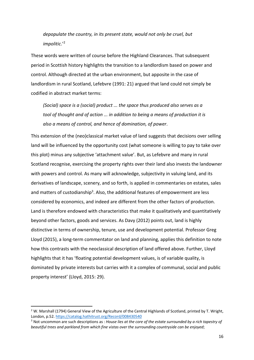*depopulate the country, in its present state, would not only be cruel, but impolitic*.'2

These words were written of course before the Highland Clearances. That subsequent period in Scottish history highlights the transition to a landlordism based on power and control. Although directed at the urban environment, but apposite in the case of landlordism in rural Scotland, Lefebvre (1991: 21) argued that land could not simply be codified in abstract market terms:

*(Social) space is a (social) product ... the space thus produced also serves as a tool of thought and of action ... in addition to being a means of production it is also a means of control, and hence of domination, of power*.

This extension of the (neo)classical market value of land suggests that decisions over selling land will be influenced by the opportunity cost (what someone is willing to pay to take over this plot) minus any subjective 'attachment value'. But, as Lefebvre and many in rural Scotland recognise, exercising the property rights over their land also invests the landowner with powers and control. As many will acknowledge, subjectivity in valuing land, and its derivatives of landscape, scenery, and so forth, is applied in commentaries on estates, sales and matters of custodianship<sup>3</sup>. Also, the additional features of empowerment are less considered by economics, and indeed are different from the other factors of production. Land is therefore endowed with characteristics that make it qualitatively and quantitatively beyond other factors, goods and services. As Davy (2012) points out, land is highly distinctive in terms of ownership, tenure, use and development potential. Professor Greg Lloyd (2015), a long-term commentator on land and planning, applies this definition to note how this contrasts with the neoclassical description of land offered above. Further, Lloyd highlights that it has 'floating potential development values, is of variable quality, is dominated by private interests but carries with it a complex of communal, social and public property interest' (Lloyd, 2015: 29).

 $2$  W. Marshall (1794) General View of the Agriculture of the Central Highlands of Scotland, printed by T. Wright, London, p.52. https://catalog.hathitrust.org/Record/008430540

<sup>3</sup> Not uncommon are such descriptions as : *House lies at the core of the estate surrounded by a rich tapestry of beautiful trees and parkland from which fine vistas over the surrounding countryside can be enjoyed*;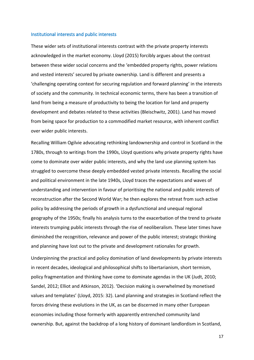#### Institutional interests and public interests

These wider sets of institutional interests contrast with the private property interests acknowledged in the market economy. Lloyd (2015) forcibly argues about the contrast between these wider social concerns and the 'embedded property rights, power relations and vested interests' secured by private ownership. Land is different and presents a 'challenging operating context for securing regulation and forward planning' in the interests of society and the community. In technical economic terms, there has been a transition of land from being a measure of productivity to being the location for land and property development and debates related to these activities (Bleischwitz, 2001). Land has moved from being space for production to a commodified market resource, with inherent conflict over wider public interests.

Recalling William Ogilvie advocating rethinking landownership and control in Scotland in the 1780s, through to writings from the 1990s, Lloyd questions why private property rights have come to dominate over wider public interests, and why the land use planning system has struggled to overcome these deeply embedded vested private interests. Recalling the social and political environment in the late 1940s, Lloyd traces the expectations and waves of understanding and intervention in favour of prioritising the national and public interests of reconstruction after the Second World War; he then explores the retreat from such active policy by addressing the periods of growth in a dysfunctional and unequal regional geography of the 1950s; finally his analysis turns to the exacerbation of the trend to private interests trumping public interests through the rise of neoliberalism. These later times have diminished the recognition, relevance and power of the public interest; strategic thinking and planning have lost out to the private and development rationales for growth.

Underpinning the practical and policy domination of land developments by private interests in recent decades, ideological and philosophical shifts to libertarianism, short termism, policy fragmentation and thinking have come to dominate agendas in the UK (Judt, 2010; Sandel, 2012; Elliot and Atkinson, 2012). 'Decision making is overwhelmed by monetised values and templates' (Lloyd, 2015: 32). Land planning and strategies in Scotland reflect the forces driving these evolutions in the UK, as can be discerned in many other European economies including those formerly with apparently entrenched community land ownership. But, against the backdrop of a long history of dominant landlordism in Scotland,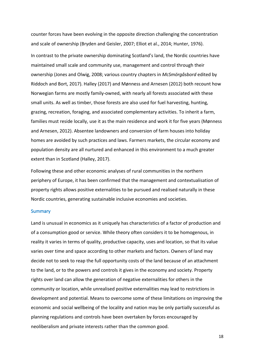counter forces have been evolving in the opposite direction challenging the concentration and scale of ownership (Bryden and Geisler, 2007; Elliot et al., 2014; Hunter, 1976). In contrast to the private ownership dominating Scotland's land, the Nordic countries have maintained small scale and community use, management and control through their ownership (Jones and Olwig, 2008; various country chapters in *McSmörgåsbord* edited by Riddoch and Bort, 2017). Halley (2017) and Mønness and Arnesen (2012) both recount how Norwegian farms are mostly family-owned, with nearly all forests associated with these small units. As well as timber, those forests are also used for fuel harvesting, hunting, grazing, recreation, foraging, and associated complementary activities. To inherit a farm, families must reside locally, use it as the main residence and work it for five years (Mønness and Arnesen, 2012). Absentee landowners and conversion of farm houses into holiday homes are avoided by such practices and laws. Farmers markets, the circular economy and population density are all nurtured and enhanced in this environment to a much greater extent than in Scotland (Halley, 2017).

Following these and other economic analyses of rural communities in the northern periphery of Europe, it has been confirmed that the management and contextualisation of property rights allows positive externalities to be pursued and realised naturally in these Nordic countries, generating sustainable inclusive economies and societies.

#### **Summary**

Land is unusual in economics as it uniquely has characteristics of a factor of production and of a consumption good or service. While theory often considers it to be homogenous, in reality it varies in terms of quality, productive capacity, uses and location, so that its value varies over time and space according to other markets and factors. Owners of land may decide not to seek to reap the full opportunity costs of the land because of an attachment to the land, or to the powers and controls it gives in the economy and society. Property rights over land can allow the generation of negative externalities for others in the community or location, while unrealised positive externalities may lead to restrictions in development and potential. Means to overcome some of these limitations on improving the economic and social wellbeing of the locality and nation may be only partially successful as planning regulations and controls have been overtaken by forces encouraged by neoliberalism and private interests rather than the common good.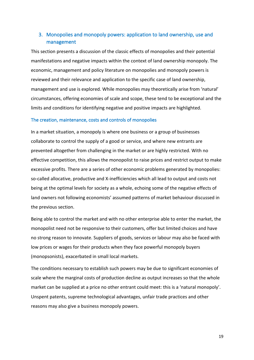## 3. Monopolies and monopoly powers: application to land ownership, use and management

This section presents a discussion of the classic effects of monopolies and their potential manifestations and negative impacts within the context of land ownership monopoly. The economic, management and policy literature on monopolies and monopoly powers is reviewed and their relevance and application to the specific case of land ownership, management and use is explored. While monopolies may theoretically arise from 'natural' circumstances, offering economies of scale and scope, these tend to be exceptional and the limits and conditions for identifying negative and positive impacts are highlighted.

## The creation, maintenance, costs and controls of monopolies

In a market situation, a monopoly is where one business or a group of businesses collaborate to control the supply of a good or service, and where new entrants are prevented altogether from challenging in the market or are highly restricted. With no effective competition, this allows the monopolist to raise prices and restrict output to make excessive profits. There are a series of other economic problems generated by monopolies: so-called allocative, productive and X-inefficiencies which all lead to output and costs not being at the optimal levels for society as a whole, echoing some of the negative effects of land owners not following economists' assumed patterns of market behaviour discussed in the previous section.

Being able to control the market and with no other enterprise able to enter the market, the monopolist need not be responsive to their customers, offer but limited choices and have no strong reason to innovate. Suppliers of goods, services or labour may also be faced with low prices or wages for their products when they face powerful monopoly buyers (monopsonists), exacerbated in small local markets.

The conditions necessary to establish such powers may be due to significant economies of scale where the marginal costs of production decline as output increases so that the whole market can be supplied at a price no other entrant could meet: this is a 'natural monopoly'. Unspent patents, supreme technological advantages, unfair trade practices and other reasons may also give a business monopoly powers.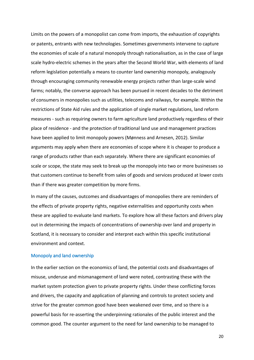Limits on the powers of a monopolist can come from imports, the exhaustion of copyrights or patents, entrants with new technologies. Sometimes governments intervene to capture the economies of scale of a natural monopoly through nationalisation, as in the case of large scale hydro-electric schemes in the years after the Second World War, with elements of land reform legislation potentially a means to counter land ownership monopoly, analogously through encouraging community renewable energy projects rather than large-scale wind farms; notably, the converse approach has been pursued in recent decades to the detriment of consumers in monopolies such as utilities, telecoms and railways, for example. Within the restrictions of State Aid rules and the application of single market regulations, land reform measures - such as requiring owners to farm agriculture land productively regardless of their place of residence - and the protection of traditional land use and management practices have been applied to limit monopoly powers (Mønness and Arnesen, 2012). Similar arguments may apply when there are economies of scope where it is cheaper to produce a range of products rather than each separately. Where there are significant economies of scale or scope, the state may seek to break up the monopoly into two or more businesses so that customers continue to benefit from sales of goods and services produced at lower costs than if there was greater competition by more firms.

In many of the causes, outcomes and disadvantages of monopolies there are reminders of the effects of private property rights, negative externalities and opportunity costs when these are applied to evaluate land markets. To explore how all these factors and drivers play out in determining the impacts of concentrations of ownership over land and property in Scotland, it is necessary to consider and interpret each within this specific institutional environment and context.

#### Monopoly and land ownership

In the earlier section on the economics of land, the potential costs and disadvantages of misuse, underuse and mismanagement of land were noted, contrasting these with the market system protection given to private property rights. Under these conflicting forces and drivers, the capacity and application of planning and controls to protect society and strive for the greater common good have been weakened over time, and so there is a powerful basis for re-asserting the underpinning rationales of the public interest and the common good. The counter argument to the need for land ownership to be managed to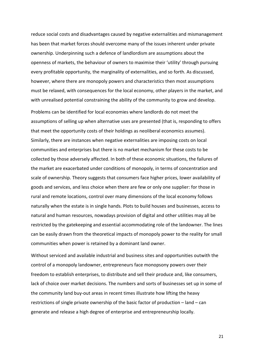reduce social costs and disadvantages caused by negative externalities and mismanagement has been that market forces should overcome many of the issues inherent under private ownership. Underpinning such a defence of landlordism are assumptions about the openness of markets, the behaviour of owners to maximise their 'utility' through pursuing every profitable opportunity, the marginality of externalities, and so forth. As discussed, however, where there are monopoly powers and characteristics then most assumptions must be relaxed, with consequences for the local economy, other players in the market, and with unrealised potential constraining the ability of the community to grow and develop.

Problems can be identified for local economies where landlords do not meet the assumptions of selling up when alternative uses are presented (that is, responding to offers that meet the opportunity costs of their holdings as neoliberal economics assumes). Similarly, there are instances when negative externalities are imposing costs on local communities and enterprises but there is no market mechanism for these costs to be collected by those adversely affected. In both of these economic situations, the failures of the market are exacerbated under conditions of monopoly, in terms of concentration and scale of ownership. Theory suggests that consumers face higher prices, lower availability of goods and services, and less choice when there are few or only one supplier: for those in rural and remote locations, control over many dimensions of the local economy follows naturally when the estate is in single hands. Plots to build houses and businesses, access to natural and human resources, nowadays provision of digital and other utilities may all be restricted by the gatekeeping and essential accommodating role of the landowner. The lines can be easily drawn from the theoretical impacts of monopoly power to the reality for small communities when power is retained by a dominant land owner.

Without serviced and available industrial and business sites and opportunities outwith the control of a monopoly landowner, entrepreneurs face monopsony powers over their freedom to establish enterprises, to distribute and sell their produce and, like consumers, lack of choice over market decisions. The numbers and sorts of businesses set up in some of the community land buy-out areas in recent times illustrate how lifting the heavy restrictions of single private ownership of the basic factor of production – land – can generate and release a high degree of enterprise and entrepreneurship locally.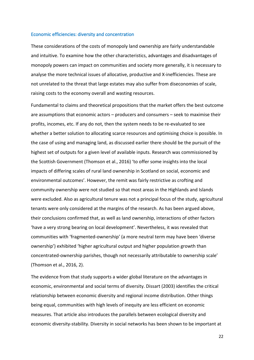#### Economic efficiencies: diversity and concentration

These considerations of the costs of monopoly land ownership are fairly understandable and intuitive. To examine how the other characteristics, advantages and disadvantages of monopoly powers can impact on communities and society more generally, it is necessary to analyse the more technical issues of allocative, productive and X-inefficiencies. These are not unrelated to the threat that large estates may also suffer from diseconomies of scale, raising costs to the economy overall and wasting resources.

Fundamental to claims and theoretical propositions that the market offers the best outcome are assumptions that economic actors – producers and consumers – seek to maximise their profits, incomes, etc. If any do not, then the system needs to be re-evaluated to see whether a better solution to allocating scarce resources and optimising choice is possible. In the case of using and managing land, as discussed earlier there should be the pursuit of the highest set of outputs for a given level of available inputs. Research was commissioned by the Scottish Government (Thomson et al., 2016) 'to offer some insights into the local impacts of differing scales of rural land ownership in Scotland on social, economic and environmental outcomes'. However, the remit was fairly restrictive as crofting and community ownership were not studied so that most areas in the Highlands and Islands were excluded. Also as agricultural tenure was not a principal focus of the study, agricultural tenants were only considered at the margins of the research. As has been argued above, their conclusions confirmed that, as well as land ownership, interactions of other factors 'have a very strong bearing on local development'. Nevertheless, it was revealed that communities with 'fragmented-ownership' (a more neutral term may have been 'diverse ownership') exhibited 'higher agricultural output and higher population growth than concentrated-ownership parishes, though not necessarily attributable to ownership scale' (Thomson et al., 2016, 2).

The evidence from that study supports a wider global literature on the advantages in economic, environmental and social terms of diversity. Dissart (2003) identifies the critical relationship between economic diversity and regional income distribution. Other things being equal, communities with high levels of inequity are less efficient on economic measures. That article also introduces the parallels between ecological diversity and economic diversity-stability. Diversity in social networks has been shown to be important at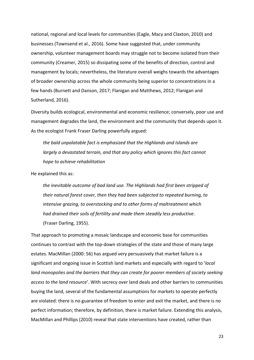national, regional and local levels for communities (Eagle, Macy and Claxton, 2010) and businesses (Townsend et al., 2016). Some have suggested that, under community ownership, volunteer management boards may struggle not to become isolated from their community (Creamer, 2015) so dissipating some of the benefits of direction, control and management by locals; nevertheless, the literature overall weighs towards the advantages of broader ownership across the whole community being superior to concentrations in a few hands (Burnett and Danson, 2017; Flanigan and Matthews, 2012; Flanigan and Sutherland, 2016).

Diversity builds ecological, environmental and economic resilience; conversely, poor use and management degrades the land, the environment and the community that depends upon it. As the ecologist Frank Fraser Darling powerfully argued:

*the bald unpalatable fact is emphasized that the Highlands and Islands are largely a devastated terrain, and that any policy which ignores this fact cannot hope to achieve rehabilitation*

He explained this as:

*the inevitable outcome of bad land use. The Highlands had first been stripped of their natural forest cover, then they had been subjected to repeated burning, to intensive grazing, to overstocking and to other forms of maltreatment which had drained their soils of fertility and made them steadily less productive*. (Fraser Darling, 1955).

That approach to promoting a mosaic landscape and economic base for communities continues to contrast with the top-down strategies of the state and those of many large estates. MacMillan (2000: 56) has argued very persuasively that market failure is a significant and ongoing issue in Scottish land markets and especially with regard to '*local land monopolies and the barriers that they can create for poorer members of society seeking access to the land resource*'. With secrecy over land deals and other barriers to communities buying the land, several of the fundamental assumptions for markets to operate perfectly are violated: there is no guarantee of freedom to enter and exit the market, and there is no perfect information; therefore, by definition, there is market failure. Extending this analysis, MacMillan and Phillips (2010) reveal that state interventions have created, rather than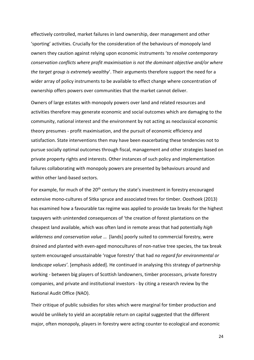effectively controlled, market failures in land ownership, deer management and other 'sporting' activities. Crucially for the consideration of the behaviours of monopoly land owners they caution against relying upon economic instruments '*to resolve contemporary conservation conflicts where profit maximisation is not the dominant objective and/or where the target group is extremely wealthy*'. Their arguments therefore support the need for a wider array of policy instruments to be available to effect change where concentration of ownership offers powers over communities that the market cannot deliver.

Owners of large estates with monopoly powers over land and related resources and activities therefore may generate economic and social outcomes which are damaging to the community, national interest and the environment by not acting as neoclassical economic theory presumes - profit maximisation, and the pursuit of economic efficiency and satisfaction. State interventions then may have been exacerbating these tendencies not to pursue socially optimal outcomes through fiscal, management and other strategies based on private property rights and interests. Other instances of such policy and implementation failures collaborating with monopoly powers are presented by behaviours around and within other land-based sectors.

For example, for much of the 20<sup>th</sup> century the state's investment in forestry encouraged extensive mono-cultures of Sitka spruce and associated trees for timber. Oosthoek (2013) has examined how a favourable tax regime was applied to provide tax breaks for the highest taxpayers with unintended consequences of 'the creation of forest plantations on the cheapest land available, which was often land in remote areas that had potentially *high wilderness and conservation value* … [lands] poorly suited to commercial forestry, were drained and planted with even-aged monocultures of non-native tree species, the tax break system encouraged unsustainable 'rogue forestry' that had *no regard for environmental or landscape values'*. [emphasis added]. He continued in analysing this strategy of partnership working - between big players of Scottish landowners, timber processors, private forestry companies, and private and institutional investors - by citing a research review by the National Audit Office (NAO).

Their critique of public subsidies for sites which were marginal for timber production and would be unlikely to yield an acceptable return on capital suggested that the different major, often monopoly, players in forestry were acting counter to ecological and economic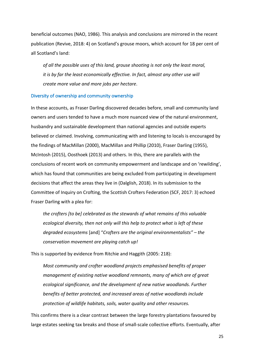beneficial outcomes (NAO, 1986). This analysis and conclusions are mirrored in the recent publication (Revive, 2018: 4) on Scotland's grouse moors, which account for 18 per cent of all Scotland's land:

*of all the possible uses of this land, grouse shooting is not only the least moral, it is by far the least economically effective. In fact, almost any other use will create more value and more jobs per hectare*.

## Diversity of ownership and community ownership

In these accounts, as Fraser Darling discovered decades before, small and community land owners and users tended to have a much more nuanced view of the natural environment, husbandry and sustainable development than national agencies and outside experts believed or claimed. Involving, communicating with and listening to locals is encouraged by the findings of MacMillan (2000), MacMillan and Phillip (2010), Fraser Darling (1955), McIntosh (2015), Oosthoek (2013) and others. In this, there are parallels with the conclusions of recent work on community empowerment and landscape and on 'rewilding', which has found that communities are being excluded from participating in development decisions that affect the areas they live in (Dalglish, 2018). In its submission to the Committee of Inquiry on Crofting, the Scottish Crofters Federation (SCF, 2017: 3) echoed Fraser Darling with a plea for:

*the crofters [to be] celebrated as the stewards of what remains of this valuable ecological diversity, then not only will this help to protect what is left of these degraded ecosystems* [and] "*Crofters are the original environmentalists" – the conservation movement are playing catch up!*

This is supported by evidence from Ritchie and Haggith (2005: 218):

*Most community and crofter woodland projects emphasised benefits of proper management of existing native woodland remnants, many of which are of great ecological significance, and the development of new native woodlands. Further benefits of better protected, and increased areas of native woodlands include protection of wildlife habitats, soils, water quality and other resources.*

This confirms there is a clear contrast between the large forestry plantations favoured by large estates seeking tax breaks and those of small-scale collective efforts. Eventually, after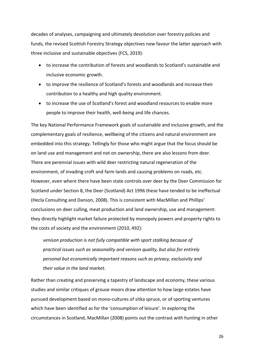decades of analyses, campaigning and ultimately devolution over forestry policies and funds, the revised Scottish Forestry Strategy objectives now favour the latter approach with three inclusive and sustainable objectives (FCS, 2019):

- to increase the contribution of forests and woodlands to Scotland's sustainable and inclusive economic growth.
- to improve the resilience of Scotland's forests and woodlands and increase their contribution to a healthy and high quality environment.
- to increase the use of Scotland's forest and woodland resources to enable more people to improve their health, well-being and life chances.

The key National Performance Framework goals of sustainable and inclusive growth, and the complementary goals of resilience, wellbeing of the citizens and natural environment are embedded into this strategy. Tellingly for those who might argue that the focus should be on land use and management and not on ownership, there are also lessons from deer. There are perennial issues with wild deer restricting natural regeneration of the environment, of invading croft and farm lands and causing problems on roads, etc. However, even where there have been state controls over deer by the Deer Commission for Scotland under Section 8, the Deer (Scotland) Act 1996 these have tended to be ineffectual (Hecla Consulting and Danson, 2008). This is consistent with MacMillan and Phillips' conclusions on deer culling, meat production and land ownership, use and management: they directly highlight market failure protected by monopoly powers and property rights to the costs of society and the environment (2010, 492):

*venison production is not fully compatible with sport stalking because of practical issues such as seasonality and venison quality, but also for entirely personal but economically important reasons such as privacy, exclusivity and their value in the land market*.

Rather than creating and preserving a tapestry of landscape and economy, these various studies and similar critiques of grouse moors draw attention to how large estates have pursued development based on mono-cultures of sitka spruce, or of sporting ventures which have been identified as for the 'consumption of leisure'. In exploring the circumstances in Scotland, MacMillan (2008) points out the contrast with hunting in other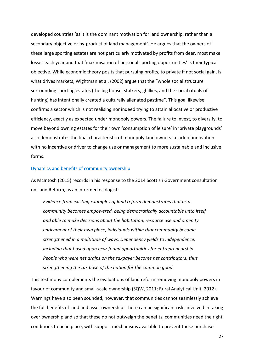developed countries 'as it is the dominant motivation for land ownership, rather than a secondary objective or by-product of land management'. He argues that the owners of these large sporting estates are not particularly motivated by profits from deer, most make losses each year and that 'maximisation of personal sporting opportunities' is their typical objective. While economic theory posits that pursuing profits, to private if not social gain, is what drives markets, Wightman et al. (2002) argue that the "whole social structure surrounding sporting estates (the big house, stalkers, ghillies, and the social rituals of hunting) has intentionally created a culturally alienated pastime". This goal likewise confirms a sector which is not realising nor indeed trying to attain allocative or productive efficiency, exactly as expected under monopoly powers. The failure to invest, to diversify, to move beyond owning estates for their own 'consumption of leisure' in 'private playgrounds' also demonstrates the final characteristic of monopoly land owners: a lack of innovation with no incentive or driver to change use or management to more sustainable and inclusive forms.

### Dynamics and benefits of community ownership

As McIntosh (2015) records in his response to the 2014 Scottish Government consultation on Land Reform, as an informed ecologist:

*Evidence from existing examples of land reform demonstrates that as a community becomes empowered, being democratically accountable unto itself and able to make decisions about the habitation, resource use and amenity enrichment of their own place, individuals within that community become strengthened in a multitude of ways. Dependency yields to independence, including that based upon new-found opportunities for entrepreneurship. People who were net drains on the taxpayer become net contributors, thus strengthening the tax base of the nation for the common good*.

This testimony complements the evaluations of land reform removing monopoly powers in favour of community and small-scale ownership (SQW, 2011; Rural Analytical Unit, 2012). Warnings have also been sounded, however, that communities cannot seamlessly achieve the full benefits of land and asset ownership. There can be significant risks involved in taking over ownership and so that these do not outweigh the benefits, communities need the right conditions to be in place, with support mechanisms available to prevent these purchases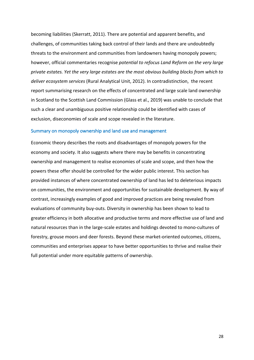becoming liabilities (Skerratt, 2011). There are potential and apparent benefits, and challenges, of communities taking back control of their lands and there are undoubtedly threats to the environment and communities from landowners having monopoly powers; however, official commentaries recognise *potential to refocus Land Reform on the very large private estates. Yet the very large estates are the most obvious building blocks from which to deliver ecosystem services* (Rural Analytical Unit, 2012). In contradistinction, the recent report summarising research on the effects of concentrated and large scale land ownership in Scotland to the Scottish Land Commission (Glass et al., 2019) was unable to conclude that such a clear and unambiguous positive relationship could be identified with cases of exclusion, diseconomies of scale and scope revealed in the literature.

### Summary on monopoly ownership and land use and management

Economic theory describes the roots and disadvantages of monopoly powers for the economy and society. It also suggests where there may be benefits in concentrating ownership and management to realise economies of scale and scope, and then how the powers these offer should be controlled for the wider public interest. This section has provided instances of where concentrated ownership of land has led to deleterious impacts on communities, the environment and opportunities for sustainable development. By way of contrast, increasingly examples of good and improved practices are being revealed from evaluations of community buy-outs. Diversity in ownership has been shown to lead to greater efficiency in both allocative and productive terms and more effective use of land and natural resources than in the large-scale estates and holdings devoted to mono-cultures of forestry, grouse moors and deer forests. Beyond these market-oriented outcomes, citizens, communities and enterprises appear to have better opportunities to thrive and realise their full potential under more equitable patterns of ownership.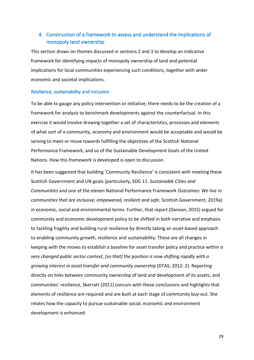## 4. Construction of a framework to assess and understand the implications of monopoly land ownership

This section draws on themes discussed in sections 2 and 3 to develop an indicative framework for identifying impacts of monopoly ownership of land and potential implications for local communities experiencing such conditions, together with wider economic and societal implications.

## Resilience, sustainability and inclusion

To be able to gauge any policy intervention or initiative, there needs to be the creation of a framework for analysis to benchmark developments against the counterfactual. In this exercise it would involve drawing together a set of characteristics, processes and elements of what sort of a community, economy and environment would be acceptable and would be serving to meet or move towards fulfilling the objectives of the Scottish National Performance Framework, and so of the Sustainable Development Goals of the United Nations. How this framework is developed is open to discussion.

It has been suggested that building 'Community Resilience' is consistent with meeting these Scottish Government and UN goals (particularly, SDG 11: *Sustainable Cities and Communities* and one of the eleven National Performance Framework Outcomes: *We live in communities that are inclusive, empowered, resilient and safe*, Scottish Government, 2019a) in economic, social and environmental terms. Further, that report (Danson, 2015) argued for community and economic development policy to be shifted in both narrative and emphasis to tackling fragility and building rural resilience by directly taking an asset-based approach to enabling community growth, resilience and sustainability. These are all changes in keeping with the moves to establish a baseline for asset transfer policy and practice within *a very changed public sector context, [so that] the position is now shifting rapidly with a growing interest in asset transfer and community ownership* (DTAS, 2012: 2). Reporting directly on links between community ownership of land and development of its assets, and communities' resilience, Skerratt (2011) concurs with these conclusions and highlights that elements of resilience are required and are built at each stage of community buy-out. She relates how the capacity to pursue sustainable social, economic and environment development is enhanced: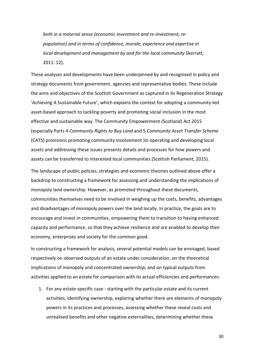*both in a material sense (economic investment and re-investment, repopulation) and in terms of confidence, morale, experience and expertise in local development and management by and for the local community* Skerratt, 2011: 12).

These analyses and developments have been underpinned by and recognised in policy and strategy documents from government, agencies and representative bodies. These include the aims and objectives of the Scottish Government as captured in its Regeneration Strategy 'Achieving A Sustainable Future', which explains the context for adopting a community-led asset-based approach to tackling poverty and promoting social inclusion in the most effective and sustainable way. The Community Empowerment (Scotland) Act 2015 (especially Parts 4 *Community Rights to Buy Land* and 5 *Community Asset Transfer Scheme* (CATS) provisions promoting community involvement )in operating and developing local assets and addressing these issues presents details and processes for how powers and assets can be transferred to interested local communities (Scottish Parliament, 2015).

The landscape of public policies, strategies and economic theories outlined above offer a backdrop to constructing a framework for assessing and understanding the implications of monopoly land ownership. However, as promoted throughout these documents, communities themselves need to be involved in weighing up the costs, benefits, advantages and disadvantages of monopoly powers over the land locally. In practice, the goals are to encourage and invest in communities, empowering them to transition to having enhanced capacity and performance, so that they achieve resilience and are enabled to develop their economy, enterprises and society for the common good.

In constructing a framework for analysis, several potential models can be envisaged, based respectively on observed outputs of an estate under consideration; on the theoretical implications of monopoly and concentrated ownership; and on typical outputs from activities applied to an estate for comparison with its actual efficiencies and performances:

1. For any estate-specific case - starting with the particular estate and its current activities, identifying ownership, exploring whether there are elements of monopoly powers in its practices and processes, assessing whether these reveal costs and unrealised benefits and other negative externalities, determining whether these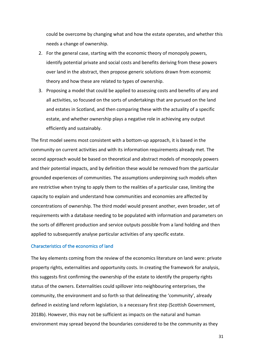could be overcome by changing what and how the estate operates, and whether this needs a change of ownership.

- 2. For the general case, starting with the economic theory of monopoly powers, identify potential private and social costs and benefits deriving from these powers over land in the abstract, then propose generic solutions drawn from economic theory and how these are related to types of ownership.
- 3. Proposing a model that could be applied to assessing costs and benefits of any and all activities, so focused on the sorts of undertakings that are pursued on the land and estates in Scotland, and then comparing these with the actuality of a specific estate, and whether ownership plays a negative role in achieving any output efficiently and sustainably.

The first model seems most consistent with a bottom-up approach, it is based in the community on current activities and with its information requirements already met. The second approach would be based on theoretical and abstract models of monopoly powers and their potential impacts, and by definition these would be removed from the particular grounded experiences of communities. The assumptions underpinning such models often are restrictive when trying to apply them to the realities of a particular case, limiting the capacity to explain and understand how communities and economies are affected by concentrations of ownership. The third model would present another, even broader, set of requirements with a database needing to be populated with information and parameters on the sorts of different production and service outputs possible from a land holding and then applied to subsequently analyse particular activities of any specific estate.

## Characteristics of the economics of land

The key elements coming from the review of the economics literature on land were: private property rights, externalities and opportunity costs. In creating the framework for analysis, this suggests first confirming the ownership of the estate to identify the property rights status of the owners. Externalities could spillover into neighbouring enterprises, the community, the environment and so forth so that delineating the 'community', already defined in existing land reform legislation, is a necessary first step (Scottish Government, 2018b). However, this may not be sufficient as impacts on the natural and human environment may spread beyond the boundaries considered to be the community as they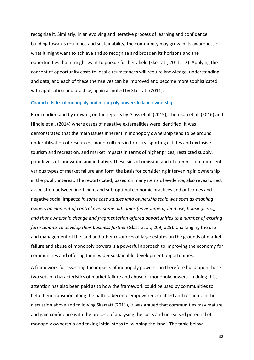recognise it. Similarly, in an evolving and iterative process of learning and confidence building towards resilience and sustainability, the community may grow in its awareness of what it might want to achieve and so recognise and broaden its horizons and the opportunities that it might want to pursue further afield (Skerratt, 2011: 12). Applying the concept of opportunity costs to local circumstances will require knowledge, understanding and data, and each of these themselves can be improved and become more sophisticated with application and practice, again as noted by Skerratt (2011).

#### Characteristics of monopoly and monopoly powers in land ownership

From earlier, and by drawing on the reports by Glass et al. (2019), Thomson et al. (2016) and Hindle et al. (2014) where cases of negative externalities were identified, it was demonstrated that the main issues inherent in monopoly ownership tend to be around underutilisation of resources, mono-cultures in forestry, sporting estates and exclusive tourism and recreation, and market impacts in terms of higher prices, restricted supply, poor levels of innovation and initiative. These sins of omission and of commission represent various types of market failure and form the basis for considering intervening in ownership in the public interest. The reports cited, based on many items of evidence, also reveal direct association between inefficient and sub-optimal economic practices and outcomes and negative social impacts: *in some case studies land ownership scale was seen as enabling owners an element of control over some outcomes (environment, land use, housing, etc.), and that ownership change and fragmentation offered opportunities to a number of existing farm tenants to develop their business further* (Glass et al., 209, p25). Challenging the use and management of the land and other resources of large estates on the grounds of market failure and abuse of monopoly powers is a powerful approach to improving the economy for communities and offering them wider sustainable development opportunities.

A framework for assessing the impacts of monopoly powers can therefore build upon these two sets of characteristics of market failure and abuse of monopoly powers. In doing this, attention has also been paid as to how the framework could be used by communities to help them transition along the path to become empowered, enabled and resilient. In the discussion above and following Skerratt (2011), it was argued that communities may mature and gain confidence with the process of analysing the costs and unrealised potential of monopoly ownership and taking initial steps to 'winning the land'. The table below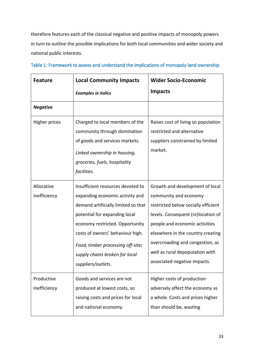therefore features each of the classical negative and positive impacts of monopoly powers in turn to outline the possible implications for both local communities and wider society and national public interests.

| <b>Feature</b>             | <b>Local Community Impacts</b>                                                                                                                                                                                                                                                                                   | <b>Wider Socio-Economic</b>                                                                                                                                                                                                                                                                                        |
|----------------------------|------------------------------------------------------------------------------------------------------------------------------------------------------------------------------------------------------------------------------------------------------------------------------------------------------------------|--------------------------------------------------------------------------------------------------------------------------------------------------------------------------------------------------------------------------------------------------------------------------------------------------------------------|
|                            | <b>Examples in italics</b>                                                                                                                                                                                                                                                                                       | <b>Impacts</b>                                                                                                                                                                                                                                                                                                     |
| <b>Negative</b>            |                                                                                                                                                                                                                                                                                                                  |                                                                                                                                                                                                                                                                                                                    |
| <b>Higher prices</b>       | Charged to local members of the<br>community through domination<br>of goods and services markets.<br>Linked ownership in housing,<br>groceries, fuels, hospitality<br>facilities.                                                                                                                                | Raises cost of living so population<br>restricted and alternative<br>suppliers constrained by limited<br>market.                                                                                                                                                                                                   |
| Allocative<br>inefficiency | Insufficient resources devoted to<br>expanding economic activity and<br>demand artificially limited so that<br>potential for expanding local<br>economy restricted. Opportunity<br>costs of owners' behaviour high.<br>Food, timber processing off-site;<br>supply chains broken for local<br>suppliers/outlets. | Growth and development of local<br>community and economy<br>restricted below socially efficient<br>levels. Consequent (re)location of<br>people and economic activities<br>elsewhere in the country creating<br>overcrowding and congestion, as<br>well as rural depopulation with<br>associated negative impacts. |
| Productive<br>inefficiency | Goods and services are not<br>produced at lowest costs, so<br>raising costs and prices for local<br>and national economy.                                                                                                                                                                                        | Higher costs of production<br>adversely affect the economy as<br>a whole. Costs and prices higher<br>than should be, wasting                                                                                                                                                                                       |

| Table 1: Framework to assess and understand the implications of monopoly land ownership |  |
|-----------------------------------------------------------------------------------------|--|
|-----------------------------------------------------------------------------------------|--|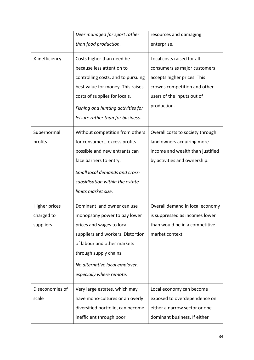|                      | Deer managed for sport rather      | resources and damaging           |
|----------------------|------------------------------------|----------------------------------|
|                      | than food production.              | enterprise.                      |
| X-inefficiency       | Costs higher than need be          | Local costs raised for all       |
|                      | because less attention to          | consumers as major customers     |
|                      | controlling costs, and to pursuing | accepts higher prices. This      |
|                      | best value for money. This raises  | crowds competition and other     |
|                      | costs of supplies for locals.      | users of the inputs out of       |
|                      | Fishing and hunting activities for | production.                      |
|                      | leisure rather than for business.  |                                  |
| Supernormal          | Without competition from others    | Overall costs to society through |
| profits              | for consumers, excess profits      | land owners acquiring more       |
|                      | possible and new entrants can      | income and wealth than justified |
|                      | face barriers to entry.            | by activities and ownership.     |
|                      | Small local demands and cross-     |                                  |
|                      | subsidisation within the estate    |                                  |
|                      | limits market size.                |                                  |
| <b>Higher prices</b> | Dominant land owner can use        | Overall demand in local economy  |
| charged to           | monopsony power to pay lower       | is suppressed as incomes lower   |
| suppliers            | prices and wages to local          | than would be in a competitive   |
|                      | suppliers and workers. Distortion  | market context.                  |
|                      | of labour and other markets        |                                  |
|                      | through supply chains.             |                                  |
|                      | No alternative local employer,     |                                  |
|                      | especially where remote.           |                                  |
| Diseconomies of      | Very large estates, which may      | Local economy can become         |
| scale                | have mono-cultures or an overly    | exposed to overdependence on     |
|                      | diversified portfolio, can become  | either a narrow sector or one    |
|                      | inefficient through poor           | dominant business. If either     |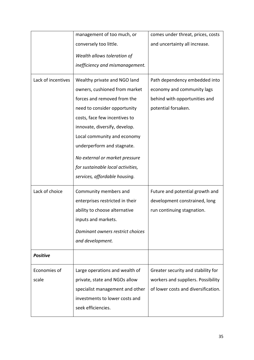|                    | management of too much, or        | comes under threat, prices, costs   |
|--------------------|-----------------------------------|-------------------------------------|
|                    | conversely too little.            | and uncertainty all increase.       |
|                    | Wealth allows toleration of       |                                     |
|                    | inefficiency and mismanagement.   |                                     |
|                    |                                   |                                     |
| Lack of incentives | Wealthy private and NGO land      | Path dependency embedded into       |
|                    | owners, cushioned from market     | economy and community lags          |
|                    | forces and removed from the       | behind with opportunities and       |
|                    | need to consider opportunity      | potential forsaken.                 |
|                    | costs, face few incentives to     |                                     |
|                    | innovate, diversify, develop.     |                                     |
|                    | Local community and economy       |                                     |
|                    | underperform and stagnate.        |                                     |
|                    | No external or market pressure    |                                     |
|                    | for sustainable local activities, |                                     |
|                    | services, affordable housing.     |                                     |
| Lack of choice     | Community members and             | Future and potential growth and     |
|                    | enterprises restricted in their   | development constrained, long       |
|                    | ability to choose alternative     | run continuing stagnation.          |
|                    | inputs and markets.               |                                     |
|                    | Dominant owners restrict choices  |                                     |
|                    | and development.                  |                                     |
| <b>Positive</b>    |                                   |                                     |
| Economies of       | Large operations and wealth of    | Greater security and stability for  |
| scale              | private, state and NGOs allow     | workers and suppliers. Possibility  |
|                    | specialist management and other   | of lower costs and diversification. |
|                    | investments to lower costs and    |                                     |
|                    | seek efficiencies.                |                                     |
|                    |                                   |                                     |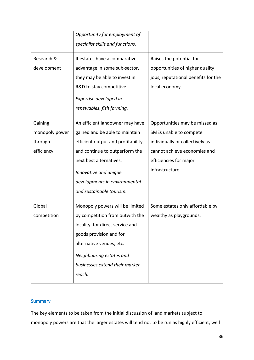|                | Opportunity for employment of       |                                     |
|----------------|-------------------------------------|-------------------------------------|
|                | specialist skills and functions.    |                                     |
| Research &     | If estates have a comparative       | Raises the potential for            |
| development    | advantage in some sub-sector,       | opportunities of higher quality     |
|                | they may be able to invest in       | jobs, reputational benefits for the |
|                | R&D to stay competitive.            | local economy.                      |
|                | Expertise developed in              |                                     |
|                | renewables, fish farming.           |                                     |
| Gaining        | An efficient landowner may have     | Opportunities may be missed as      |
| monopoly power | gained and be able to maintain      | SMEs unable to compete              |
| through        | efficient output and profitability, | individually or collectively as     |
| efficiency     | and continue to outperform the      | cannot achieve economies and        |
|                | next best alternatives.             | efficiencies for major              |
|                | Innovative and unique               | infrastructure.                     |
|                | developments in environmental       |                                     |
|                | and sustainable tourism.            |                                     |
| Global         | Monopoly powers will be limited     | Some estates only affordable by     |
| competition    | by competition from outwith the     | wealthy as playgrounds.             |
|                | locality, for direct service and    |                                     |
|                | goods provision and for             |                                     |
|                | alternative venues, etc.            |                                     |
|                | Neighbouring estates and            |                                     |
|                | businesses extend their market      |                                     |
|                | reach.                              |                                     |

## **Summary**

The key elements to be taken from the initial discussion of land markets subject to monopoly powers are that the larger estates will tend not to be run as highly efficient, well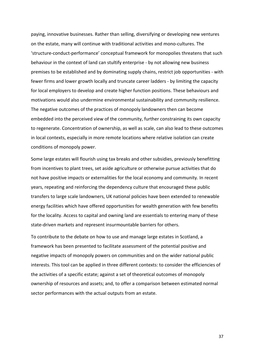paying, innovative businesses. Rather than selling, diversifying or developing new ventures on the estate, many will continue with traditional activities and mono-cultures. The 'structure-conduct-performance' conceptual framework for monopolies threatens that such behaviour in the context of land can stultify enterprise - by not allowing new business premises to be established and by dominating supply chains, restrict job opportunities - with fewer firms and lower growth locally and truncate career ladders - by limiting the capacity for local employers to develop and create higher function positions. These behaviours and motivations would also undermine environmental sustainability and community resilience. The negative outcomes of the practices of monopoly landowners then can become embedded into the perceived view of the community, further constraining its own capacity to regenerate. Concentration of ownership, as well as scale, can also lead to these outcomes in local contexts, especially in more remote locations where relative isolation can create conditions of monopoly power.

Some large estates will flourish using tax breaks and other subsidies, previously benefitting from incentives to plant trees, set aside agriculture or otherwise pursue activities that do not have positive impacts or externalities for the local economy and community. In recent years, repeating and reinforcing the dependency culture that encouraged these public transfers to large scale landowners, UK national policies have been extended to renewable energy facilities which have offered opportunities for wealth generation with few benefits for the locality. Access to capital and owning land are essentials to entering many of these state-driven markets and represent insurmountable barriers for others.

To contribute to the debate on how to use and manage large estates in Scotland, a framework has been presented to facilitate assessment of the potential positive and negative impacts of monopoly powers on communities and on the wider national public interests. This tool can be applied in three different contexts: to consider the efficiencies of the activities of a specific estate; against a set of theoretical outcomes of monopoly ownership of resources and assets; and, to offer a comparison between estimated normal sector performances with the actual outputs from an estate.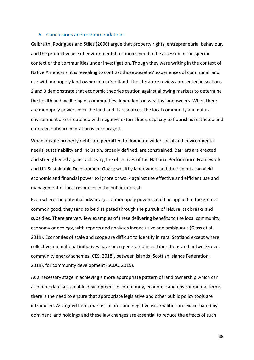## 5. Conclusions and recommendations

Galbraith, Rodriguez and Stiles (2006) argue that property rights, entrepreneurial behaviour, and the productive use of environmental resources need to be assessed in the specific context of the communities under investigation. Though they were writing in the context of Native Americans, it is revealing to contrast those societies' experiences of communal land use with monopoly land ownership in Scotland. The literature reviews presented in sections 2 and 3 demonstrate that economic theories caution against allowing markets to determine the health and wellbeing of communities dependent on wealthy landowners. When there are monopoly powers over the land and its resources, the local community and natural environment are threatened with negative externalities, capacity to flourish is restricted and enforced outward migration is encouraged.

When private property rights are permitted to dominate wider social and environmental needs, sustainability and inclusion, broadly defined, are constrained. Barriers are erected and strengthened against achieving the objectives of the National Performance Framework and UN Sustainable Development Goals; wealthy landowners and their agents can yield economic and financial power to ignore or work against the effective and efficient use and management of local resources in the public interest.

Even where the potential advantages of monopoly powers could be applied to the greater common good, they tend to be dissipated through the pursuit of leisure, tax breaks and subsidies. There are very few examples of these delivering benefits to the local community, economy or ecology, with reports and analyses inconclusive and ambiguous (Glass et al., 2019). Economies of scale and scope are difficult to identify in rural Scotland except where collective and national initiatives have been generated in collaborations and networks over community energy schemes (CES, 2018), between islands (Scottish Islands Federation, 2019), for community development (SCDC, 2019).

As a necessary stage in achieving a more appropriate pattern of land ownership which can accommodate sustainable development in community, economic and environmental terms, there is the need to ensure that appropriate legislative and other public policy tools are introduced. As argued here, market failures and negative externalities are exacerbated by dominant land holdings and these law changes are essential to reduce the effects of such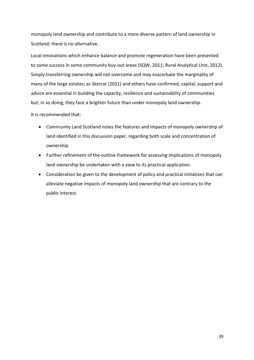monopoly land ownership and contribute to a more diverse pattern of land ownership in Scotland; there is no alternative.

Local innovations which enhance balance and promote regeneration have been presented to some success in some community buy-out areas (SQW, 2011; Rural Analytical Unit, 2012). Simply transferring ownership will not overcome and may exacerbate the marginality of many of the large estates; as Skerrat (2011) and others have confirmed, capital, support and advice are essential in building the capacity, resilience and sustainability of communities but, in so doing, they face a brighter future than under monopoly land ownership.

It is recommended that:

- Community Land Scotland notes the features and impacts of monopoly ownership of land identified in this discussion paper, regarding both scale and concentration of ownership.
- Further refinement of the outline framework for assessing implications of monopoly land ownership be undertaken with a view to its practical application.
- Consideration be given to the development of policy and practical initiatives that can alleviate negative impacts of monopoly land ownership that are contrary to the public interest.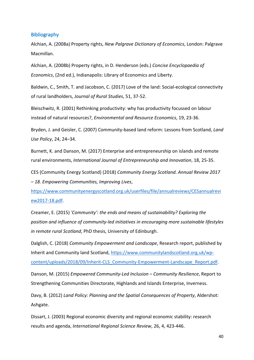## **Bibliography**

Alchian, A. (2008a) Property rights, *New Palgrave Dictionary of Economics*, London: Palgrave Macmillan.

Alchian, A. (2008b) Property rights, in D. Henderson (eds.) *Concise Encyclopaedia of Economics*, (2nd ed.), Indianapolis: Library of Economics and Liberty.

Baldwin, C., Smith, T. and Jacobson, C. (2017) Love of the land: Social-ecological connectivity of rural landholders, *Journal of Rural Studies*, 51, 37-52.

Bleischwitz, R. (2001) Rethinking productivity: why has productivity focussed on labour instead of natural resources?, *Environmental and Resource Economics*, 19, 23-36.

Bryden, J. and Geisler, C. (2007) Community-based land reform: Lessons from Scotland, *Land Use Policy*, 24, 24–34.

Burnett, K. and Danson, M. (2017) Enterprise and entrepreneurship on islands and remote rural environments, *International Journal of Entrepreneurship and Innovation*, 18, 25-35.

CES (Community Energy Scotland) (2018) *Community Energy Scotland. Annual Review 2017 – 18. Empowering Communities, Improving Lives*,

https://www.communityenergyscotland.org.uk/userfiles/file/annualreviews/CESannualrevi ew2017-18.pdf.

Creamer, E. (2015) *'Community': the ends and means of sustainability? Exploring the position and influence of community-led initiatives in encouraging more sustainable lifestyles in remote rural Scotland*, PhD thesis, University of Edinburgh.

Dalglish, C. (2018) *Community Empowerment and Landscape*, Research report, published by Inherit and Community land Scotland, https://www.communitylandscotland.org.uk/wpcontent/uploads/2018/09/Inherit-CLS\_Community-Empowerment-Landscape\_Report.pdf.

Danson, M. (2015) *Empowered Community-Led Inclusion – Community Resilience*, Report to Strengthening Communities Directorate, Highlands and Islands Enterprise, Inverness.

Davy, B. (2012) *Land Policy: Planning and the Spatial Consequences of Property*, Aldershot: Ashgate.

Dissart, J. (2003) Regional economic diversity and regional economic stability: research results and agenda, *International Regional Science Review*, 26, 4, 423-446.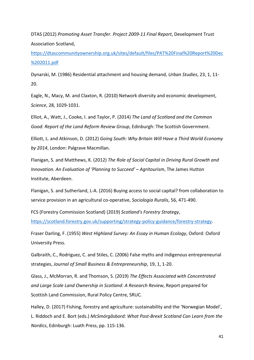DTAS (2012) *Promoting Asset Transfer. Project 2009-11 Final Report*, Development Trust Association Scotland,

https://dtascommunityownership.org.uk/sites/default/files/PAT%20Final%20Report%20Dec %202011.pdf

Dynarski, M. (1986) Residential attachment and housing demand, *Urban Studies*, 23, 1, 11- 20.

Eagle, N., Macy, M. and Claxton, R. (2010) Network diversity and economic development, *Science*, 28, 1029-1031.

Elliot, A., Watt, J., Cooke, I. and Taylor, P. (2014) *The Land of Scotland and the Common Good: Report of the Land Reform Review Group*, Edinburgh: The Scottish Government.

Elliott, L. and Atkinson, D. (2012) *Going South: Why Britain Will Have a Third World Economy by 2014*, London: Palgrave Macmillan.

Flanigan, S. and Matthews, K. (2012) *The Role of Social Capital in Driving Rural Growth and Innovation. An Evaluation of 'Planning to Succeed' – Agritourism*, The James Hutton Institute, Aberdeen.

Flanigan, S. and Sutherland, L-A. (2016) Buying access to social capital? from collaboration to service provision in an agricultural co-operative, *Sociologia Ruralis*, 56, 471-490.

FCS (Forestry Commission Scotland) (2019) *Scotland's Forestry Strategy*,

https://scotland.forestry.gov.uk/supporting/strategy-policy-guidance/forestry-strategy.

Fraser Darling, F. (1955) *West Highland Survey: An Essay in Human Ecology*, Oxford: Oxford University Press.

Galbraith, C., Rodriguez, C. and Stiles, C. (2006) False myths and indigenous entrepreneurial strategies, *Journal of Small Business & Entrepreneurship*, 19, 1, 1-20.

Glass, J., McMorran, R. and Thomson, S. (2019) *The Effects Associated with Concentrated and Large Scale Land Ownership in Scotland: A Research Review*, Report prepared for Scottish Land Commission, Rural Policy Centre, SRUC.

Halley, D. (2017) Fishing, forestry and agriculture: sustainability and the 'Norwegian Model', L. Riddoch and E. Bort (eds.) *McSmörgåsbord: What Post-Brexit Scotland Can Learn from the Nordics*, Edinburgh: Luath Press, pp. 115-136.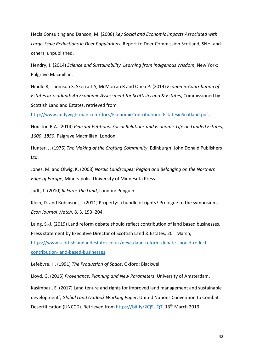Hecla Consulting and Danson, M. (2008) *Key Social and Economic Impacts Associated with Large-Scale Reductions in Deer Populations*, Report to Deer Commission Scotland, SNH, and others, unpublished.

Hendry, J. (2014) *Science and Sustainability. Learning from Indigenous Wisdom*, New York: Palgrave Macmillan.

Hindle R, Thomson S, Skerratt S, McMorran R and Onea P. (2014) *Economic Contribution of Estates in Scotland: An Economic Assessment for Scottish Land & Estates*, Commissioned by Scottish Land and Estates, retrieved from

http://www.andywightman.com/docs/EconomicContributionofEstatesinScotland.pdf.

Houston R.A. (2014) *Peasant Petitions*. *Social Relations and Economic Life on Landed Estates, 1600–1850*, Palgrave Macmillan, London.

Hunter, J. (1976) *The Making of the Crofting Community*, Edinburgh: John Donald Publishers Ltd.

Jones, M. and Olwig, K. (2008) *Nordic Landscapes: Region and Belonging on the Northern Edge of Europe*, Minneapolis: University of Minnesota Press.

Judt, T. (2010) *Ill Fares the Land*, London: Penguin.

Klein, D. and Robinson, J. (2011) Property: a bundle of rights? Prologue to the symposium, *Econ Journal Watch*, 8, 3, 193–204.

Laing, S.-J. (2019) Land reform debate should reflect contribution of land based businesses, Press statement by Executive Director of Scottish Land & Estates, 20<sup>th</sup> March, https://www.scottishlandandestates.co.uk/news/land-reform-debate-should-reflectcontribution-land-based-businesses.

Lefebvre, H. (1991) *The Production of Space*, Oxford: Blackwell.

Lloyd, G. (2015) *Provenance, Planning and New Parameters*, University of Amsterdam.

Kasimbazi, E. (2017) Land tenure and rights for improved land management and sustainable development', *Global Land Outlook Working Paper*, United Nations Convention to Combat Desertification (UNCCD). Retrieved from https://bit.ly/2CjSUQT, 13th March 2019.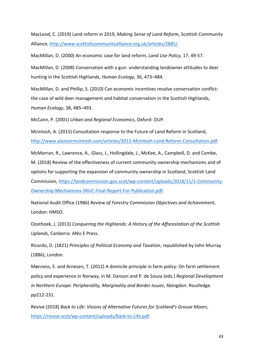MacLeod, C. (2019) Land reform in 2019, *Making Sense of Land Reform*, Scottish Community Alliance, http://www.scottishcommunityalliance.org.uk/articles/2885/.

MacMillan, D. (2000) An economic case for land reform, *Land Use Policy*, 17, 49-57.

MacMillan, D. (2008) Conservation with a gun: understanding landowner attitudes to deer hunting in the Scottish Highlands, *Human Ecology*, 36, 473–484.

MacMillan, D. and Phillip, S. (2010) Can economic incentives resolve conservation conflict: the case of wild deer management and habitat conservation in the Scottish Highlands, *Human Ecology*, 38, 485–493.

McCann, P. (2001) *Urban and Regional Economics*, Oxford: OUP.

McIntosh, A. (2015) Consultation response to the Future of Land Reform in Scotland, http://www.alastairmcintosh.com/articles/2015-McIntosh-Land-Reform-Consultation.pdf.

McMorran, R., Lawrence, A., Glass, J., Hollingdale, J., McKee, A., Campbell, D. and Combe, M. (2018) Review of the effectiveness of current community ownership mechanisms and of options for supporting the expansion of community ownership in Scotland, Scottish Land Commission, https://landcommission.gov.scot/wp-content/uploads/2018/11/1-Community-Ownership-Mechanisms-SRUC-Final-Report-For-Publication.pdf.

National Audit Office (1986) *Review of Forestry Commission Objectives and Achievement*, London: HMSO.

Oosthoek, J. (2013) *Conquering the Highlands: A History of the Afforestation of the Scottish Uplands*, Canberra: ANU E Press.

Ricardo, D. (1821) *Principles of Political Economy and Taxation*, republished by John Murray (1886), London.

Mønness, E. and Arnesen, T. (2012) A domicile principle in farm policy: On farm settlement policy and experience in Norway, in M. Danson and P. de Souza (eds.) *Regional Development in Northern Europe: Peripherality, Marginality and Border Issues*, Abingdon: Routledge. pp212-231.

Revive (2018) *Back to Life: Visions of Alternative Futures for Scotland's Grouse Moors*, https://revive.scot/wp-content/uploads/Back-to-Life.pdf.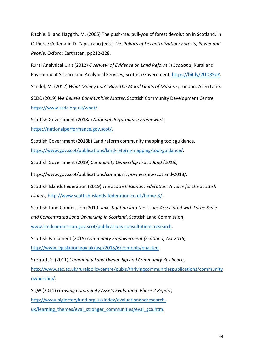Ritchie, B. and Haggith, M. (2005) The push-me, pull-you of forest devolution in Scotland, in C. Pierce Colfer and D. Capistrano (eds.) *The Politics of Decentralization: Forests, Power and People*, Oxford: Earthscan. pp212-228.

Rural Analytical Unit (2012) *Overview of Evidence on Land Reform in Scotland*, Rural and Environment Science and Analytical Services, Scottish Government, https://bit.ly/2UDR9oY.

Sandel, M. (2012) *What Money Can't Buy: The Moral Limits of Markets*, London: Allen Lane.

SCDC (2019) *We Believe Communities Matter*, Scottish Community Development Centre, https://www.scdc.org.uk/what/.

Scottish Government (2018a) *National Performance Framework*, https://nationalperformance.gov.scot/.

Scottish Government (2018b) Land reform community mapping tool: guidance,

https://www.gov.scot/publications/land-reform-mapping-tool-guidance/.

Scottish Government (2019) *Community Ownership in Scotland (2018),*

https://www.gov.scot/publications/community-ownership-scotland-2018/.

Scottish Islands Federation (2019) *The Scottish Islands Federation: A voice for the Scottish Islands*, http://www.scottish-islands-federation.co.uk/home-3/.

Scottish Land Commission (2019) *Investigation into the Issues Associated with Large Scale and Concentrated Land Ownership in Scotland*, Scottish Land Commission,

www.landcommission.gov.scot/publications-consultations-research.

Scottish Parliament (2015) *Community Empowerment (Scotland) Act 2015*, http://www.legislation.gov.uk/asp/2015/6/contents/enacted.

Skerratt, S. (2011) *Community Land Ownership and Community Resilience*,

http://www.sac.ac.uk/ruralpolicycentre/publs/thrivingcommunitiespublications/community ownership/.

SQW (2011) *Growing Community Assets Evaluation: Phase 2 Report*, http://www.biglotteryfund.org.uk/index/evaluationandresearchuk/learning themes/eval stronger communities/eval gca.htm.